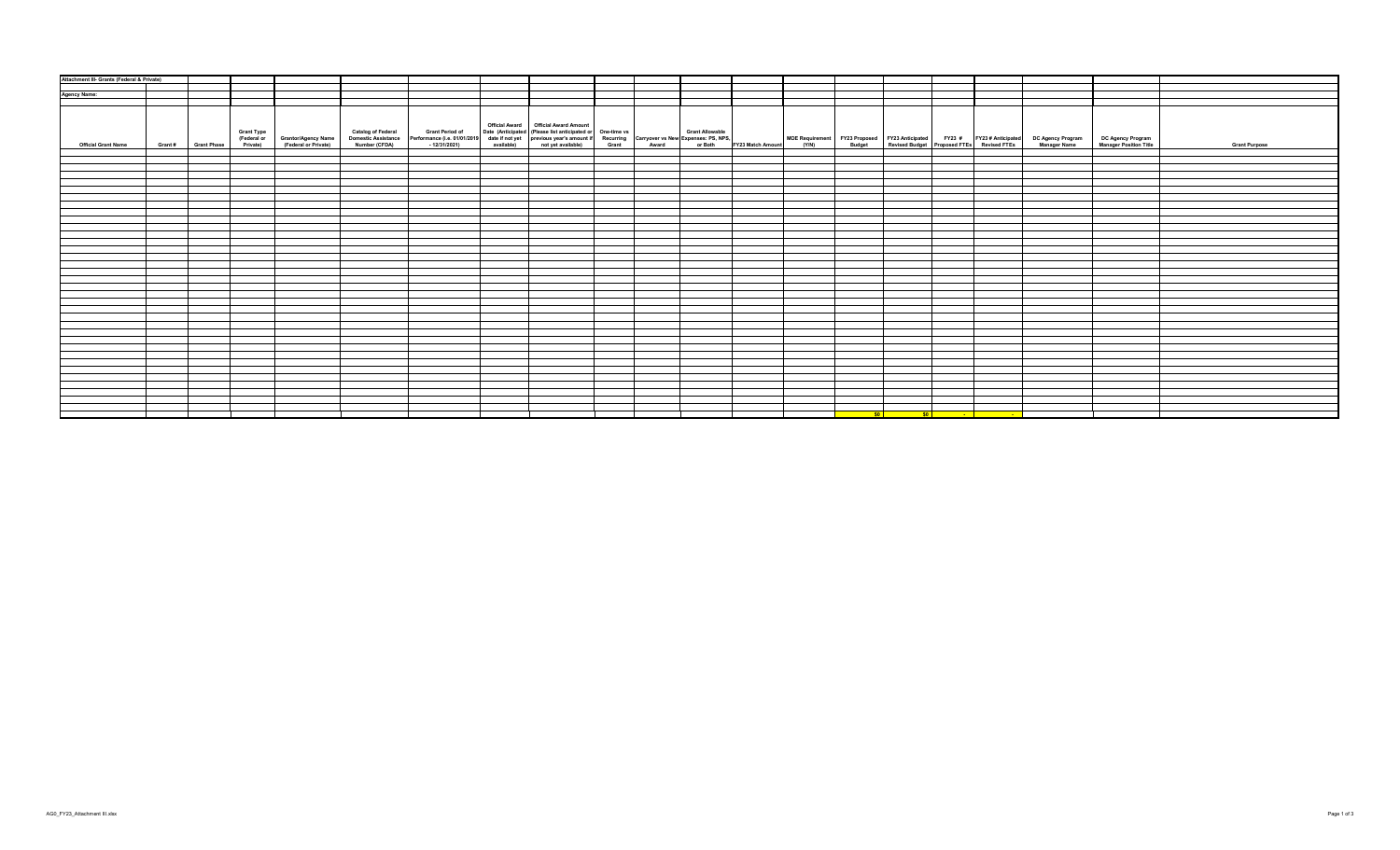| Attachment III- Grants (Federal & Private) |                     |                                                                                 |  |                                        |                                                                                                                                                                                                                                |  |           |  |                                                                                                                        |                                                                                                                                                                                                           |                      |
|--------------------------------------------|---------------------|---------------------------------------------------------------------------------|--|----------------------------------------|--------------------------------------------------------------------------------------------------------------------------------------------------------------------------------------------------------------------------------|--|-----------|--|------------------------------------------------------------------------------------------------------------------------|-----------------------------------------------------------------------------------------------------------------------------------------------------------------------------------------------------------|----------------------|
|                                            |                     |                                                                                 |  |                                        |                                                                                                                                                                                                                                |  |           |  |                                                                                                                        |                                                                                                                                                                                                           |                      |
| <b>Agency Name:</b>                        |                     |                                                                                 |  |                                        |                                                                                                                                                                                                                                |  |           |  |                                                                                                                        |                                                                                                                                                                                                           |                      |
|                                            |                     |                                                                                 |  |                                        |                                                                                                                                                                                                                                |  |           |  |                                                                                                                        |                                                                                                                                                                                                           |                      |
| <b>Official Grant Name</b>                 | Grant # Grant Phase | Grant Type<br>(Federal or Grantor/Agency Name)<br>Private) (Federal or Private) |  | Official Award   Official Award Amount | Catalog of Federal Grant Period of Date (Anticipated (Please list anticipated or One-time vs Grant Allowable Momestic Asstance Performance (i.e. 01012019 date if not previous year's amount if Recurring Carryover vs New Exp |  |           |  |                                                                                                                        | MOE Requirement FY23 Proposed FY23 Anticipated FY23 # FY23 #Anticipated DC Agency Program DC Agency Program<br>(Y/N) Budget Revised Budget Proposed FTEs Revised FTEs Manager Name Manager Position Title | <b>Grant Purpose</b> |
|                                            |                     |                                                                                 |  |                                        |                                                                                                                                                                                                                                |  |           |  |                                                                                                                        |                                                                                                                                                                                                           |                      |
|                                            |                     |                                                                                 |  |                                        |                                                                                                                                                                                                                                |  |           |  |                                                                                                                        |                                                                                                                                                                                                           |                      |
|                                            |                     |                                                                                 |  |                                        |                                                                                                                                                                                                                                |  |           |  |                                                                                                                        |                                                                                                                                                                                                           |                      |
|                                            |                     |                                                                                 |  |                                        |                                                                                                                                                                                                                                |  |           |  |                                                                                                                        |                                                                                                                                                                                                           |                      |
|                                            |                     |                                                                                 |  |                                        |                                                                                                                                                                                                                                |  |           |  |                                                                                                                        |                                                                                                                                                                                                           |                      |
|                                            |                     |                                                                                 |  |                                        |                                                                                                                                                                                                                                |  |           |  |                                                                                                                        |                                                                                                                                                                                                           |                      |
|                                            |                     |                                                                                 |  |                                        |                                                                                                                                                                                                                                |  |           |  |                                                                                                                        |                                                                                                                                                                                                           |                      |
|                                            |                     |                                                                                 |  |                                        |                                                                                                                                                                                                                                |  |           |  |                                                                                                                        |                                                                                                                                                                                                           |                      |
|                                            |                     |                                                                                 |  |                                        |                                                                                                                                                                                                                                |  |           |  |                                                                                                                        |                                                                                                                                                                                                           |                      |
|                                            |                     |                                                                                 |  |                                        |                                                                                                                                                                                                                                |  |           |  |                                                                                                                        |                                                                                                                                                                                                           |                      |
|                                            |                     |                                                                                 |  |                                        |                                                                                                                                                                                                                                |  |           |  |                                                                                                                        |                                                                                                                                                                                                           |                      |
|                                            |                     |                                                                                 |  |                                        |                                                                                                                                                                                                                                |  |           |  |                                                                                                                        |                                                                                                                                                                                                           |                      |
|                                            |                     |                                                                                 |  |                                        |                                                                                                                                                                                                                                |  |           |  |                                                                                                                        |                                                                                                                                                                                                           |                      |
|                                            |                     |                                                                                 |  |                                        |                                                                                                                                                                                                                                |  |           |  |                                                                                                                        |                                                                                                                                                                                                           |                      |
|                                            |                     |                                                                                 |  |                                        |                                                                                                                                                                                                                                |  |           |  |                                                                                                                        |                                                                                                                                                                                                           |                      |
|                                            |                     |                                                                                 |  |                                        |                                                                                                                                                                                                                                |  |           |  |                                                                                                                        |                                                                                                                                                                                                           |                      |
|                                            |                     |                                                                                 |  |                                        |                                                                                                                                                                                                                                |  |           |  |                                                                                                                        |                                                                                                                                                                                                           |                      |
|                                            |                     |                                                                                 |  |                                        |                                                                                                                                                                                                                                |  |           |  |                                                                                                                        |                                                                                                                                                                                                           |                      |
|                                            |                     |                                                                                 |  |                                        |                                                                                                                                                                                                                                |  |           |  |                                                                                                                        |                                                                                                                                                                                                           |                      |
|                                            |                     |                                                                                 |  |                                        |                                                                                                                                                                                                                                |  |           |  |                                                                                                                        |                                                                                                                                                                                                           |                      |
|                                            |                     |                                                                                 |  |                                        |                                                                                                                                                                                                                                |  |           |  |                                                                                                                        |                                                                                                                                                                                                           |                      |
|                                            |                     |                                                                                 |  |                                        |                                                                                                                                                                                                                                |  |           |  |                                                                                                                        |                                                                                                                                                                                                           |                      |
|                                            |                     |                                                                                 |  |                                        |                                                                                                                                                                                                                                |  |           |  |                                                                                                                        |                                                                                                                                                                                                           |                      |
|                                            |                     |                                                                                 |  |                                        |                                                                                                                                                                                                                                |  |           |  |                                                                                                                        |                                                                                                                                                                                                           |                      |
|                                            |                     |                                                                                 |  |                                        |                                                                                                                                                                                                                                |  |           |  |                                                                                                                        |                                                                                                                                                                                                           |                      |
|                                            |                     |                                                                                 |  |                                        |                                                                                                                                                                                                                                |  |           |  |                                                                                                                        |                                                                                                                                                                                                           |                      |
|                                            |                     |                                                                                 |  |                                        |                                                                                                                                                                                                                                |  |           |  |                                                                                                                        |                                                                                                                                                                                                           |                      |
|                                            |                     |                                                                                 |  |                                        |                                                                                                                                                                                                                                |  |           |  |                                                                                                                        |                                                                                                                                                                                                           |                      |
|                                            |                     |                                                                                 |  |                                        |                                                                                                                                                                                                                                |  |           |  |                                                                                                                        |                                                                                                                                                                                                           |                      |
|                                            |                     |                                                                                 |  |                                        |                                                                                                                                                                                                                                |  |           |  |                                                                                                                        |                                                                                                                                                                                                           |                      |
|                                            |                     |                                                                                 |  |                                        |                                                                                                                                                                                                                                |  |           |  |                                                                                                                        |                                                                                                                                                                                                           |                      |
|                                            |                     |                                                                                 |  |                                        |                                                                                                                                                                                                                                |  |           |  |                                                                                                                        |                                                                                                                                                                                                           |                      |
|                                            |                     |                                                                                 |  |                                        |                                                                                                                                                                                                                                |  | <b>SO</b> |  | <u>in the soul of the soul of the soul of the soul of the soul of the soul of the soul of the soul of the soul of </u> |                                                                                                                                                                                                           |                      |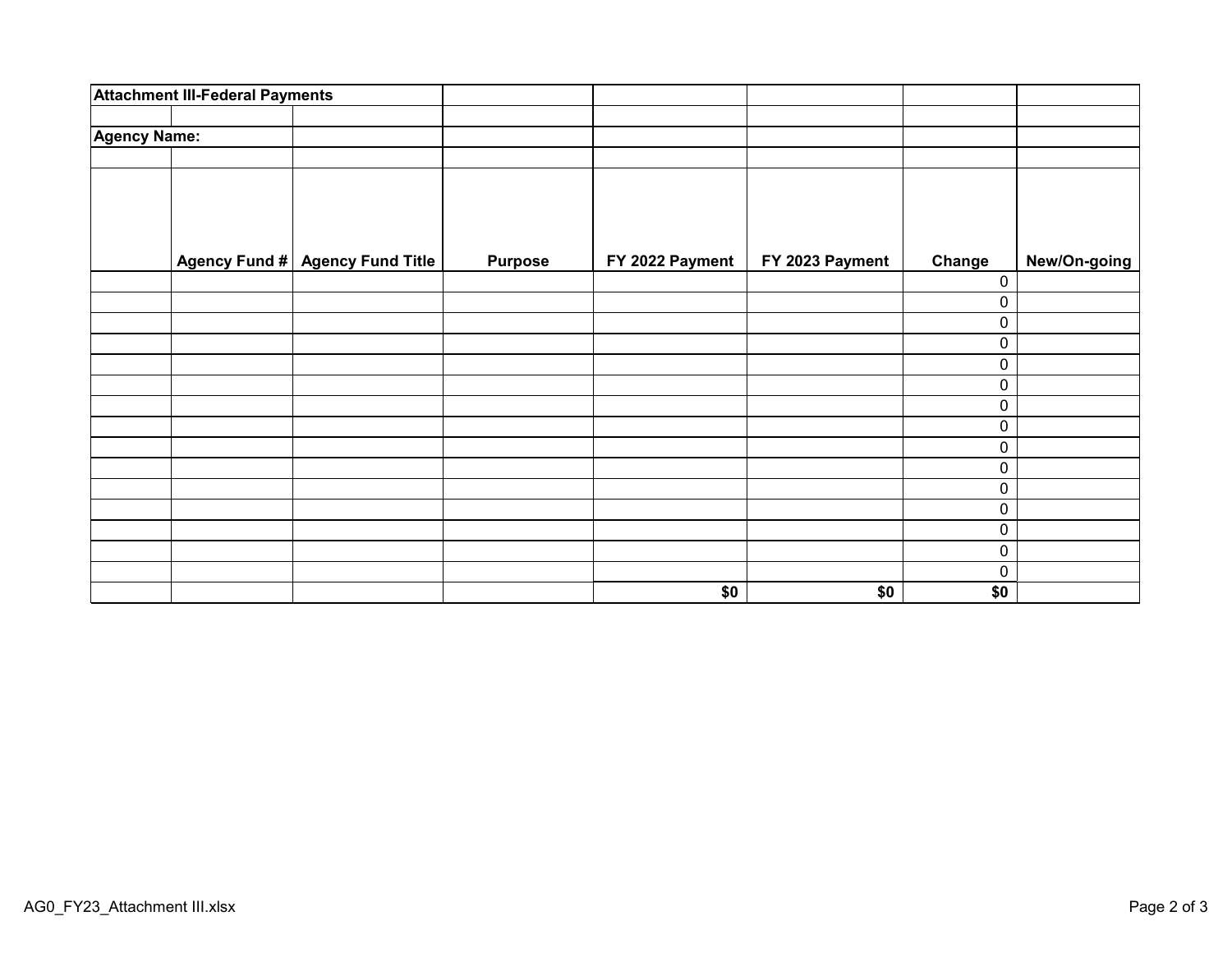|                     | <b>Attachment III-Federal Payments</b> |                                 |                |                 |                 |           |              |
|---------------------|----------------------------------------|---------------------------------|----------------|-----------------|-----------------|-----------|--------------|
| <b>Agency Name:</b> |                                        |                                 |                |                 |                 |           |              |
|                     |                                        |                                 |                |                 |                 |           |              |
|                     |                                        |                                 |                |                 |                 |           |              |
|                     |                                        |                                 |                |                 |                 |           |              |
|                     |                                        |                                 |                |                 |                 |           |              |
|                     |                                        | Agency Fund # Agency Fund Title | <b>Purpose</b> | FY 2022 Payment | FY 2023 Payment | Change    | New/On-going |
|                     |                                        |                                 |                |                 |                 | 0         |              |
|                     |                                        |                                 |                |                 |                 | 0         |              |
|                     |                                        |                                 |                |                 |                 | 0         |              |
|                     |                                        |                                 |                |                 |                 | 0         |              |
|                     |                                        |                                 |                |                 |                 | 0         |              |
|                     |                                        |                                 |                |                 |                 | 0         |              |
|                     |                                        |                                 |                |                 |                 | 0         |              |
|                     |                                        |                                 |                |                 |                 | 0         |              |
|                     |                                        |                                 |                |                 |                 | $\pmb{0}$ |              |
|                     |                                        |                                 |                |                 |                 | 0         |              |
|                     |                                        |                                 |                |                 |                 | 0         |              |
|                     |                                        |                                 |                |                 |                 | 0         |              |
|                     |                                        |                                 |                |                 |                 | 0         |              |
|                     |                                        |                                 |                |                 |                 | 0         |              |
|                     |                                        |                                 |                |                 |                 | 0         |              |
|                     |                                        |                                 |                | \$0             | \$0             | \$0       |              |